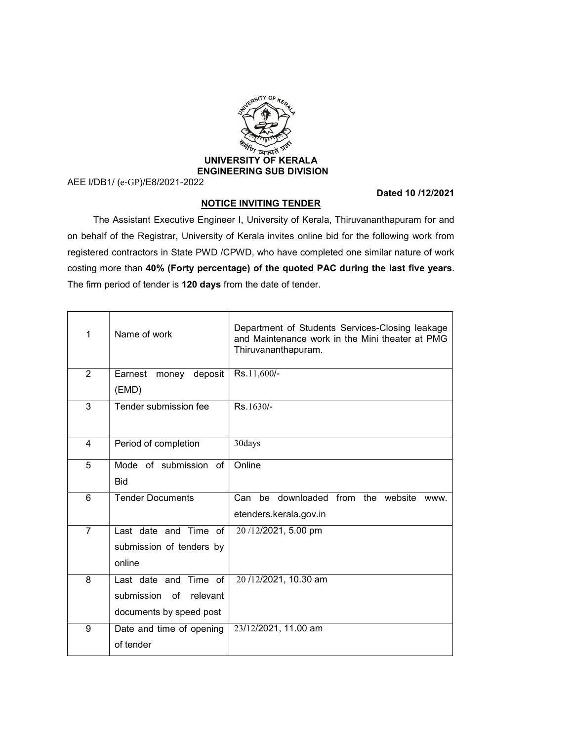

AEE I/DB1/ (e-GP)/E8/2021-2022

## Dated 10 /12/2021

## NOTICE INVITING TENDER

 The Assistant Executive Engineer I, University of Kerala, Thiruvananthapuram for and on behalf of the Registrar, University of Kerala invites online bid for the following work from registered contractors in State PWD /CPWD, who have completed one similar nature of work costing more than 40% (Forty percentage) of the quoted PAC during the last five years. The firm period of tender is 120 days from the date of tender.

| 1              | Name of work                                                               | Department of Students Services-Closing leakage<br>and Maintenance work in the Mini theater at PMG<br>Thiruvananthapuram. |
|----------------|----------------------------------------------------------------------------|---------------------------------------------------------------------------------------------------------------------------|
| 2              | deposit<br>Earnest<br>money<br>(EMD)                                       | Rs.11,600/-                                                                                                               |
| 3              | Tender submission fee                                                      | Rs.1630/-                                                                                                                 |
| 4              | Period of completion                                                       | 30days                                                                                                                    |
| 5              | Mode of submission of<br><b>Bid</b>                                        | Online                                                                                                                    |
| 6              | <b>Tender Documents</b>                                                    | Can<br>downloaded from the website<br>be<br>WWW.<br>etenders.kerala.gov.in                                                |
| $\overline{7}$ | Last date and Time of<br>submission of tenders by<br>online                | 20/12/2021, 5.00 pm                                                                                                       |
| 8              | Last date and Time of<br>submission of relevant<br>documents by speed post | 20/12/2021, 10.30 am                                                                                                      |
| 9              | Date and time of opening<br>of tender                                      | 23/12/2021, 11.00 am                                                                                                      |